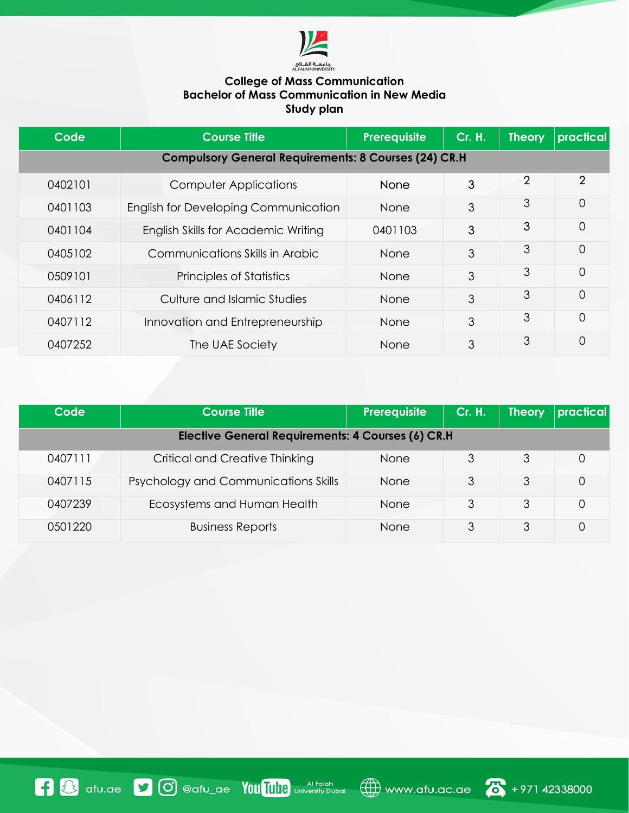

## **College of Mass Communication Bachelor of Mass Communication in New Media Study plan**

| Code                                                        | <b>Course Title</b>                         | Prerequisite | <b>Cr. H.</b> | <b>Theory</b>  | practical      |
|-------------------------------------------------------------|---------------------------------------------|--------------|---------------|----------------|----------------|
| <b>Compulsory General Requirements: 8 Courses (24) CR.H</b> |                                             |              |               |                |                |
| 0402101                                                     | Computer Applications                       | <b>None</b>  | 3             | $\overline{2}$ | $\overline{2}$ |
| 0401103                                                     | <b>English for Developing Communication</b> | <b>None</b>  | 3             | 3              | 0              |
| 0401104                                                     | English Skills for Academic Writing         | 0401103      | 3             | 3              | 0              |
| 0405102                                                     | Communications Skills in Arabic             | <b>None</b>  | 3             | 3              | 0              |
| 0509101                                                     | Principles of Statistics                    | <b>None</b>  | 3             | 3              | 0              |
| 0406112                                                     | Culture and Islamic Studies                 | <b>None</b>  | 3             | 3              | 0              |
| 0407112                                                     | Innovation and Entrepreneurship             | <b>None</b>  | 3             | 3              | 0              |
| 0407252                                                     | The UAE Society                             | <b>None</b>  | 3             | 3              | 0              |

| Code                                              | Course Title l                              | Prerequisite | <b>Cr. H.</b> | Theory | <i><b>practical</b></i> |
|---------------------------------------------------|---------------------------------------------|--------------|---------------|--------|-------------------------|
| Elective General Requirements: 4 Courses (6) CR.H |                                             |              |               |        |                         |
| 0407111                                           | Critical and Creative Thinking              | <b>None</b>  | 3             | 3      | 0                       |
| 0407115                                           | <b>Psychology and Communications Skills</b> | <b>None</b>  | 3             | 3      |                         |
| 0407239                                           | Ecosystems and Human Health                 | <b>None</b>  | 3             | 3      | 0                       |
| 0501220                                           | <b>Business Reports</b>                     | <b>None</b>  |               | 3      | 0                       |



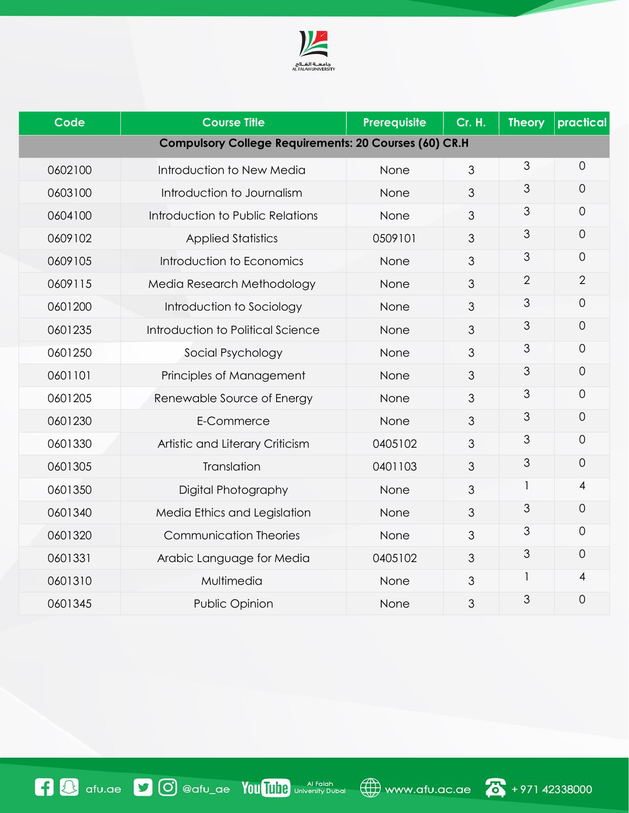

| <b>Code</b>                                                  | <b>Course Title</b>               | Prerequisite | <b>Cr. H.</b>  | <b>Theory</b>  | practical      |  |
|--------------------------------------------------------------|-----------------------------------|--------------|----------------|----------------|----------------|--|
| <b>Compulsory College Requirements: 20 Courses (60) CR.H</b> |                                   |              |                |                |                |  |
| 0602100                                                      | Introduction to New Media         | None         | 3              | 3              | $\overline{O}$ |  |
| 0603100                                                      | Introduction to Journalism        | None         | $\mathfrak{S}$ | 3              | 0              |  |
| 0604100                                                      | Introduction to Public Relations  | None         | 3              | 3              | $\Omega$       |  |
| 0609102                                                      | <b>Applied Statistics</b>         | 0509101      | 3              | 3              | $\mathbf 0$    |  |
| 0609105                                                      | Introduction to Economics         | None         | 3              | 3              | 0              |  |
| 0609115                                                      | Media Research Methodology        | None         | 3              | $\overline{2}$ | $\overline{2}$ |  |
| 0601200                                                      | Introduction to Sociology         | None         | 3              | 3              | $\overline{O}$ |  |
| 0601235                                                      | Introduction to Political Science | None         | $\mathfrak{Z}$ | 3              | $\overline{O}$ |  |
| 0601250                                                      | Social Psychology                 | None         | 3              | 3              | $\overline{0}$ |  |
| 0601101                                                      | Principles of Management          | None         | $\mathfrak{Z}$ | 3              | $\overline{0}$ |  |
| 0601205                                                      | Renewable Source of Energy        | None         | $\mathfrak{Z}$ | 3              | $\overline{0}$ |  |
| 0601230                                                      | E-Commerce                        | None         | $\mathfrak{Z}$ | 3              | $\overline{0}$ |  |
| 0601330                                                      | Artistic and Literary Criticism   | 0405102      | 3              | 3              | $\Omega$       |  |
| 0601305                                                      | Translation                       | 0401103      | $\mathfrak{Z}$ | 3              | $\overline{O}$ |  |
| 0601350                                                      | Digital Photography               | None         | 3              | 1              | $\overline{4}$ |  |
| 0601340                                                      | Media Ethics and Legislation      | None         | 3              | 3              | $\overline{O}$ |  |
| 0601320                                                      | <b>Communication Theories</b>     | None         | 3              | 3              | $\overline{0}$ |  |
| 0601331                                                      | Arabic Language for Media         | 0405102      | $\mathfrak{S}$ | 3              | $\Omega$       |  |
| 0601310                                                      | Multimedia                        | None         | 3              | 1              | 4              |  |
| 0601345                                                      | <b>Public Opinion</b>             | None         | 3              | 3              | $\overline{0}$ |  |